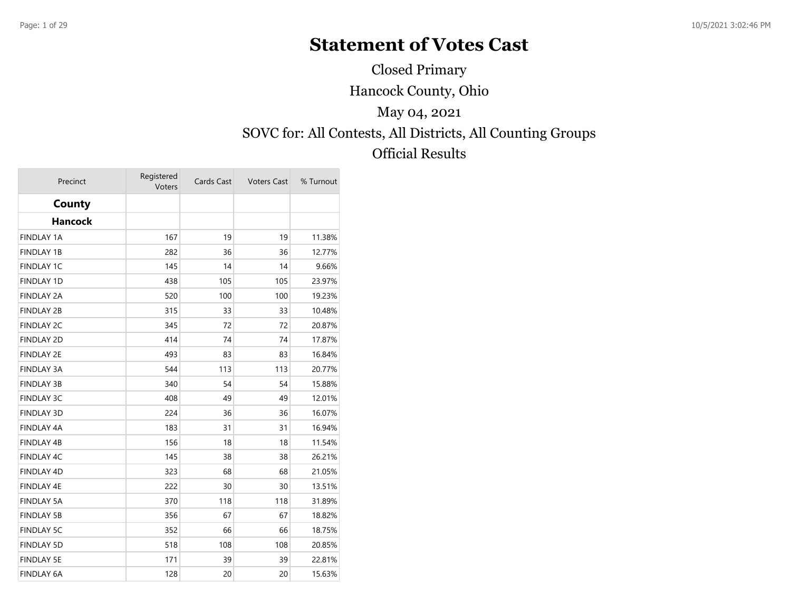## **Statement of Votes Cast**

Closed Primary

Hancock County, Ohio

### May 04, 2021

# SOVC for: All Contests, All Districts, All Counting Groups

### Official Results

| Precinct          | Registered<br>Voters | Cards Cast | <b>Voters Cast</b> | % Turnout |
|-------------------|----------------------|------------|--------------------|-----------|
| County            |                      |            |                    |           |
| <b>Hancock</b>    |                      |            |                    |           |
| <b>FINDLAY 1A</b> | 167                  | 19         | 19                 | 11.38%    |
| <b>FINDLAY 1B</b> | 282                  | 36         | 36                 | 12.77%    |
| <b>FINDLAY 1C</b> | 145                  | 14         | 14                 | 9.66%     |
| <b>FINDLAY 1D</b> | 438                  | 105        | 105                | 23.97%    |
| <b>FINDLAY 2A</b> | 520                  | 100        | 100                | 19.23%    |
| <b>FINDLAY 2B</b> | 315                  | 33         | 33                 | 10.48%    |
| <b>FINDLAY 2C</b> | 345                  | 72         | 72                 | 20.87%    |
| <b>FINDLAY 2D</b> | 414                  | 74         | 74                 | 17.87%    |
| <b>FINDLAY 2E</b> | 493                  | 83         | 83                 | 16.84%    |
| <b>FINDLAY 3A</b> | 544                  | 113        | 113                | 20.77%    |
| <b>FINDLAY 3B</b> | 340                  | 54         | 54                 | 15.88%    |
| <b>FINDLAY 3C</b> | 408                  | 49         | 49                 | 12.01%    |
| <b>FINDLAY 3D</b> | 224                  | 36         | 36                 | 16.07%    |
| <b>FINDLAY 4A</b> | 183                  | 31         | 31                 | 16.94%    |
| FINDLAY 4B        | 156                  | 18         | 18                 | 11.54%    |
| <b>FINDLAY 4C</b> | 145                  | 38         | 38                 | 26.21%    |
| <b>FINDLAY 4D</b> | 323                  | 68         | 68                 | 21.05%    |
| FINDLAY 4E        | 222                  | 30         | 30                 | 13.51%    |
| <b>FINDLAY 5A</b> | 370                  | 118        | 118                | 31.89%    |
| <b>FINDLAY 5B</b> | 356                  | 67         | 67                 | 18.82%    |
| <b>FINDLAY 5C</b> | 352                  | 66         | 66                 | 18.75%    |
| <b>FINDLAY 5D</b> | 518                  | 108        | 108                | 20.85%    |
| <b>FINDLAY 5E</b> | 171                  | 39         | 39                 | 22.81%    |
| <b>FINDLAY 6A</b> | 128                  | 20         | 20                 | 15.63%    |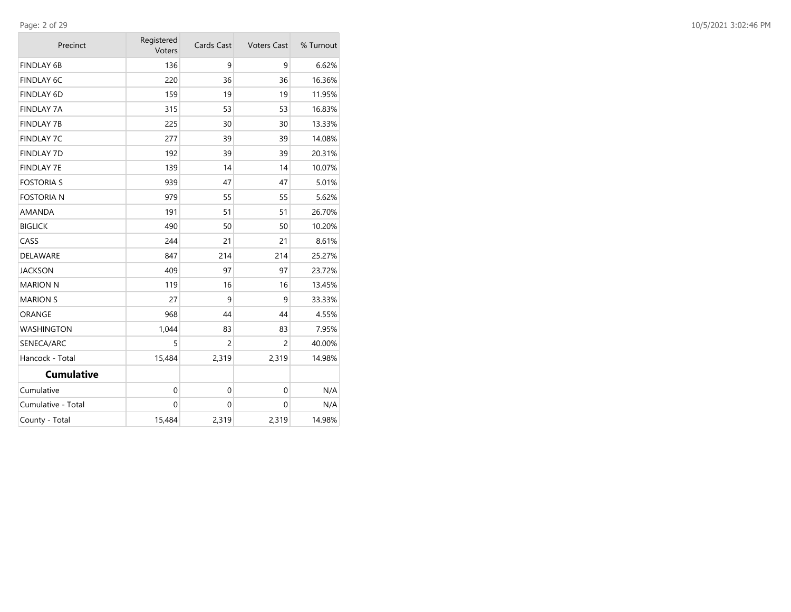| Precinct           | Registered<br>Voters | Cards Cast     | <b>Voters Cast</b> | % Turnout |
|--------------------|----------------------|----------------|--------------------|-----------|
| <b>FINDLAY 6B</b>  | 136                  | 9              | 9                  | 6.62%     |
| <b>FINDLAY 6C</b>  | 220                  | 36             | 36                 | 16.36%    |
| <b>FINDLAY 6D</b>  | 159                  | 19             | 19                 | 11.95%    |
| <b>FINDLAY 7A</b>  | 315                  | 53             | 53                 | 16.83%    |
| <b>FINDLAY 7B</b>  | 225                  | 30             | 30                 | 13.33%    |
| <b>FINDLAY 7C</b>  | 277                  | 39             | 39                 | 14.08%    |
| <b>FINDLAY 7D</b>  | 192                  | 39             | 39                 | 20.31%    |
| <b>FINDLAY 7E</b>  | 139                  | 14             | 14                 | 10.07%    |
| <b>FOSTORIA S</b>  | 939                  | 47             | 47                 | 5.01%     |
| <b>FOSTORIA N</b>  | 979                  | 55             | 55                 | 5.62%     |
| AMANDA             | 191                  | 51             | 51                 | 26.70%    |
| <b>BIGLICK</b>     | 490                  | 50             | 50                 | 10.20%    |
| CASS               | 244                  | 21             | 21                 | 8.61%     |
| DELAWARE           | 847                  | 214            | 214                | 25.27%    |
| <b>JACKSON</b>     | 409                  | 97             | 97                 | 23.72%    |
| <b>MARION N</b>    | 119                  | 16             | 16                 | 13.45%    |
| <b>MARION S</b>    | 27                   | 9              | 9                  | 33.33%    |
| ORANGE             | 968                  | 44             | 44                 | 4.55%     |
| <b>WASHINGTON</b>  | 1,044                | 83             | 83                 | 7.95%     |
| SENECA/ARC         | 5                    | $\overline{c}$ | 2                  | 40.00%    |
| Hancock - Total    | 15,484               | 2,319          | 2,319              | 14.98%    |
| <b>Cumulative</b>  |                      |                |                    |           |
| Cumulative         | $\mathbf 0$          | $\mathbf 0$    | $\Omega$           | N/A       |
| Cumulative - Total | $\mathbf{0}$         | $\mathbf{0}$   | $\mathbf{0}$       | N/A       |
| County - Total     | 15,484               | 2,319          | 2,319              | 14.98%    |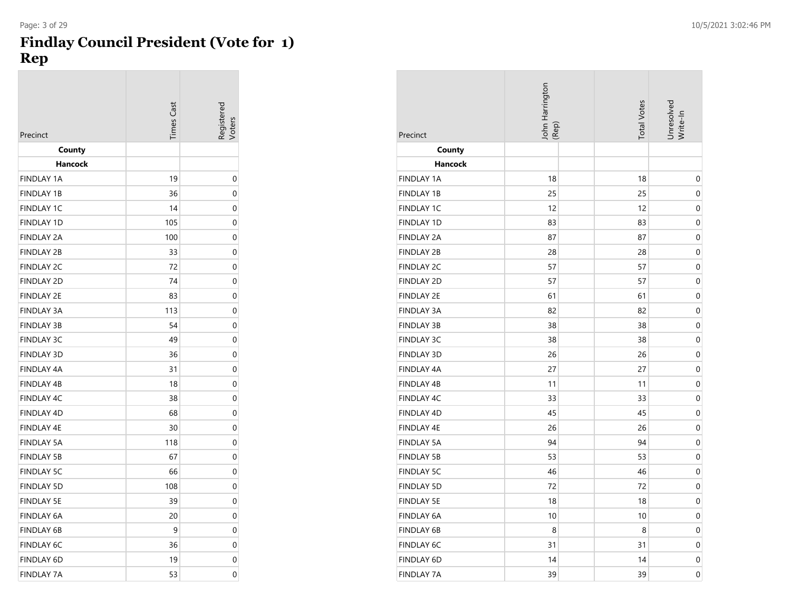#### **Findlay Council President (Vote for 1) Rep**

| Precinct          | Times Cast | Registerea<br><b>/oters</b> |
|-------------------|------------|-----------------------------|
| County<br>Hancock |            |                             |
| <b>FINDLAY 1A</b> | 19         | 0                           |
| <b>FINDLAY 1B</b> | 36         | 0                           |
| <b>FINDLAY 1C</b> | 14         | 0                           |
| <b>FINDLAY 1D</b> | 105        | 0                           |
| <b>FINDLAY 2A</b> | 100        | 0                           |
| <b>FINDLAY 2B</b> | 33         | 0                           |
| <b>FINDLAY 2C</b> | 72         | 0                           |
| <b>FINDLAY 2D</b> | 74         | 0                           |
| <b>FINDLAY 2E</b> | 83         | 0                           |
| <b>FINDLAY 3A</b> | 113        | 0                           |
| <b>FINDLAY 3B</b> | 54         | 0                           |
| <b>FINDLAY 3C</b> | 49         | 0                           |
| <b>FINDLAY 3D</b> | 36         | 0                           |
| <b>FINDLAY 4A</b> | 31         | 0                           |
| <b>FINDLAY 4B</b> | 18         | 0                           |
| FINDLAY 4C        | 38         | 0                           |
| <b>FINDLAY 4D</b> | 68         | 0                           |
| <b>FINDLAY 4E</b> | 30         | 0                           |
| <b>FINDLAY 5A</b> | 118        | 0                           |
| <b>FINDLAY 5B</b> | 67         | 0                           |
| <b>FINDLAY 5C</b> | 66         | 0                           |
| <b>FINDLAY 5D</b> | 108        | 0                           |
| <b>FINDLAY 5E</b> | 39         | 0                           |
| <b>FINDLAY 6A</b> | 20         | 0                           |
| <b>FINDLAY 6B</b> | 9          | 0                           |
| <b>FINDLAY 6C</b> | 36         | 0                           |
| <b>FINDLAY 6D</b> | 19         | 0                           |
| <b>FINDLAY 7A</b> | 53         | 0                           |

| Precinct          | John Harrington<br>(Rep) | <b>Total Votes</b> | Unresolved<br>Write-In |
|-------------------|--------------------------|--------------------|------------------------|
| County            |                          |                    |                        |
| <b>Hancock</b>    |                          |                    |                        |
| <b>FINDLAY 1A</b> | 18                       | 18                 | 0                      |
| <b>FINDLAY 1B</b> | 25                       | 25                 | 0                      |
| <b>FINDLAY 1C</b> | 12                       | 12                 | 0                      |
| <b>FINDLAY 1D</b> | 83                       | 83                 | 0                      |
| <b>FINDLAY 2A</b> | 87                       | 87                 | 0                      |
| <b>FINDLAY 2B</b> | 28                       | 28                 | 0                      |
| <b>FINDLAY 2C</b> | 57                       | 57                 | 0                      |
| <b>FINDLAY 2D</b> | 57                       | 57                 | 0                      |
| <b>FINDLAY 2E</b> | 61                       | 61                 | 0                      |
| <b>FINDLAY 3A</b> | 82                       | 82                 | 0                      |
| <b>FINDLAY 3B</b> | 38                       | 38                 | 0                      |
| <b>FINDLAY 3C</b> | 38                       | 38                 | 0                      |
| <b>FINDLAY 3D</b> | 26                       | 26                 | 0                      |
| <b>FINDLAY 4A</b> | 27                       | 27                 | 0                      |
| <b>FINDLAY 4B</b> | 11                       | 11                 | 0                      |
| FINDLAY 4C        | 33                       | 33                 | 0                      |
| <b>FINDLAY 4D</b> | 45                       | 45                 | 0                      |
| <b>FINDLAY 4E</b> | 26                       | 26                 | 0                      |
| <b>FINDLAY 5A</b> | 94                       | 94                 | 0                      |
| <b>FINDLAY 5B</b> | 53                       | 53                 | 0                      |
| <b>FINDLAY 5C</b> | 46                       | 46                 | 0                      |
| <b>FINDLAY 5D</b> | 72                       | 72                 | 0                      |
| <b>FINDLAY 5E</b> | 18                       | 18                 | 0                      |
| <b>FINDLAY 6A</b> | 10                       | 10                 | 0                      |
| <b>FINDLAY 6B</b> | 8                        | 8                  | 0                      |
| <b>FINDLAY 6C</b> | 31                       | 31                 | 0                      |
| FINDLAY 6D        | 14                       | 14                 | 0                      |
| <b>FINDLAY 7A</b> | 39                       | 39                 | 0                      |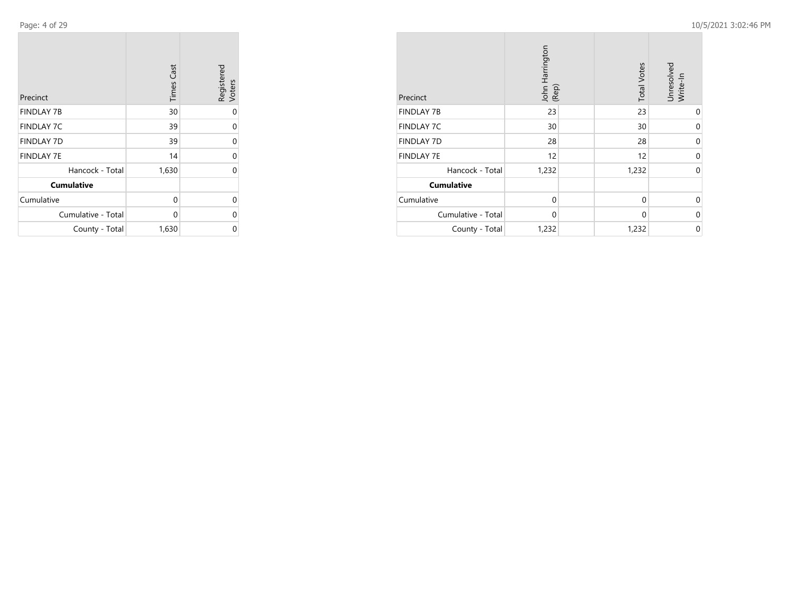Page: 4 of 29

**College** 

| Precinct           | <b>Times Cast</b> | Registered<br>Voters |
|--------------------|-------------------|----------------------|
| <b>FINDLAY 7B</b>  | 30                | 0                    |
| <b>FINDLAY 7C</b>  | 39                | 0                    |
| <b>FINDLAY 7D</b>  | 39                | 0                    |
| <b>FINDLAY 7E</b>  | 14                | 0                    |
| Hancock - Total    | 1,630             | 0                    |
| <b>Cumulative</b>  |                   |                      |
| Cumulative         | 0                 | 0                    |
| Cumulative - Total | 0                 | 0                    |
| County - Total     | 1,630             | 0                    |

| Precinct           | John Harrington<br>(Rep) | <b>Total Votes</b> | Unresolved<br>Write-In |
|--------------------|--------------------------|--------------------|------------------------|
| <b>FINDLAY 7B</b>  | 23                       | 23                 | 0                      |
| <b>FINDLAY 7C</b>  | 30                       | 30                 | $\Omega$               |
| <b>FINDLAY 7D</b>  | 28                       | 28                 | 0                      |
| <b>FINDLAY 7E</b>  | 12                       | 12                 | $\Omega$               |
| Hancock - Total    | 1,232                    | 1,232              | 0                      |
| <b>Cumulative</b>  |                          |                    |                        |
| Cumulative         | $\mathbf 0$              | 0                  | $\Omega$               |
| Cumulative - Total | $\mathbf 0$              | $\Omega$           | 0                      |
| County - Total     | 1,232                    | 1,232              | 0                      |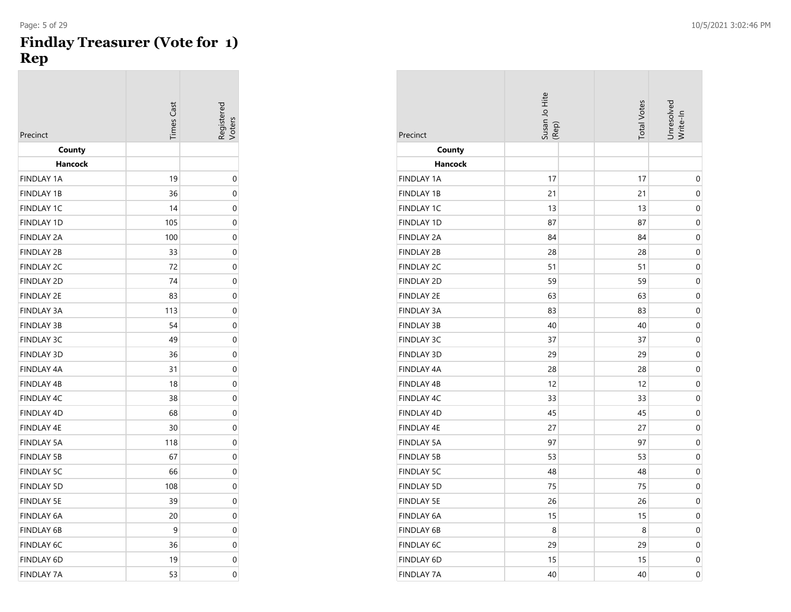#### **Findlay Treasurer (Vote for 1) Rep**

| Precinct          | limes Cas: |             |
|-------------------|------------|-------------|
| County            |            |             |
| Hancock           |            |             |
| <b>FINDLAY 1A</b> | 19         | 0           |
| <b>FINDLAY 1B</b> | 36         | 0           |
| <b>FINDLAY 1C</b> | 14         | 0           |
| <b>FINDLAY 1D</b> | 105        | 0           |
| <b>FINDLAY 2A</b> | 100        | 0           |
| <b>FINDLAY 2B</b> | 33         | 0           |
| <b>FINDLAY 2C</b> | 72         | $\mathbf 0$ |
| <b>FINDLAY 2D</b> | 74         | 0           |
| <b>FINDLAY 2E</b> | 83         | 0           |
| <b>FINDLAY 3A</b> | 113        | 0           |
| <b>FINDLAY 3B</b> | 54         | 0           |
| <b>FINDLAY 3C</b> | 49         | 0           |
| <b>FINDLAY 3D</b> | 36         | 0           |
| <b>FINDLAY 4A</b> | 31         | $\Omega$    |
| <b>FINDLAY 4B</b> | 18         | 0           |
| <b>FINDLAY 4C</b> | 38         | 0           |
| <b>FINDLAY 4D</b> | 68         | 0           |
| <b>FINDLAY 4E</b> | 30         | 0           |
| <b>FINDLAY 5A</b> | 118        | 0           |
| <b>FINDLAY 5B</b> | 67         | 0           |
| <b>FINDLAY 5C</b> | 66         | 0           |
| <b>FINDLAY 5D</b> | 108        | 0           |
| <b>FINDLAY 5E</b> | 39         | 0           |
| <b>FINDLAY 6A</b> | 20         | 0           |
| <b>FINDLAY 6B</b> | 9          | 0           |
| <b>FINDLAY 6C</b> | 36         | 0           |
| <b>FINDLAY 6D</b> | 19         | 0           |
| <b>FINDLAY 7A</b> | 53         | $\Omega$    |

| Precinct          | Susan Jo Hite<br>(Rep) | <b>Total Votes</b> | Unresolved<br>Write-In |
|-------------------|------------------------|--------------------|------------------------|
| County            |                        |                    |                        |
| <b>Hancock</b>    |                        |                    |                        |
| <b>FINDLAY 1A</b> | 17                     | 17                 | 0                      |
| <b>FINDLAY 1B</b> | 21                     | 21                 | 0                      |
| <b>FINDLAY 1C</b> | 13                     | 13                 | 0                      |
| <b>FINDLAY 1D</b> | 87                     | 87                 | 0                      |
| <b>FINDLAY 2A</b> | 84                     | 84                 | 0                      |
| <b>FINDLAY 2B</b> | 28                     | 28                 | 0                      |
| <b>FINDLAY 2C</b> | 51                     | 51                 | 0                      |
| <b>FINDLAY 2D</b> | 59                     | 59                 | 0                      |
| <b>FINDLAY 2E</b> | 63                     | 63                 | 0                      |
| <b>FINDLAY 3A</b> | 83                     | 83                 | 0                      |
| <b>FINDLAY 3B</b> | 40                     | 40                 | 0                      |
| <b>FINDLAY 3C</b> | 37                     | 37                 | $\mathbf 0$            |
| <b>FINDLAY 3D</b> | 29                     | 29                 | 0                      |
| <b>FINDLAY 4A</b> | 28                     | 28                 | 0                      |
| <b>FINDLAY 4B</b> | 12                     | 12                 | 0                      |
| <b>FINDLAY 4C</b> | 33                     | 33                 | 0                      |
| <b>FINDLAY 4D</b> | 45                     | 45                 | 0                      |
| <b>FINDLAY 4E</b> | 27                     | 27                 | 0                      |
| <b>FINDLAY 5A</b> | 97                     | 97                 | 0                      |
| <b>FINDLAY 5B</b> | 53                     | 53                 | 0                      |
| <b>FINDLAY 5C</b> | 48                     | 48                 | 0                      |
| <b>FINDLAY 5D</b> | 75                     | 75                 | 0                      |
| <b>FINDLAY 5E</b> | 26                     | 26                 | 0                      |
| <b>FINDLAY 6A</b> | 15                     | 15                 | 0                      |
| <b>FINDLAY 6B</b> | 8                      | 8                  | 0                      |
| <b>FINDLAY 6C</b> | 29                     | 29                 | 0                      |
| <b>FINDLAY 6D</b> | 15                     | 15                 | 0                      |
| <b>FINDLAY 7A</b> | 40                     | 40                 | $\mathbf 0$            |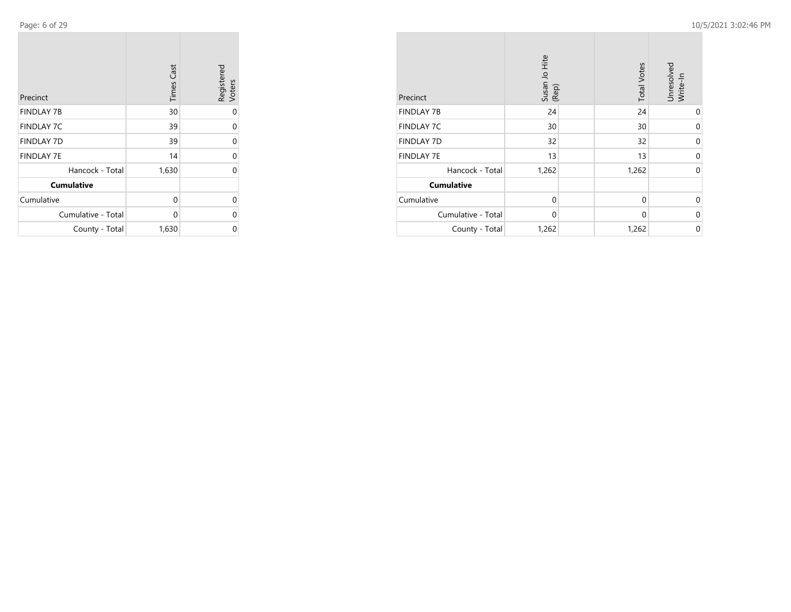Page: 6 of 29

**College** 

| Precinct           | <b>Times Cast</b> | Registered<br>Voters |
|--------------------|-------------------|----------------------|
| <b>FINDLAY 7B</b>  | 30                | 0                    |
| <b>FINDLAY 7C</b>  | 39                | 0                    |
| <b>FINDLAY 7D</b>  | 39                | 0                    |
| <b>FINDLAY 7E</b>  | 14                | 0                    |
| Hancock - Total    | 1,630             | 0                    |
| <b>Cumulative</b>  |                   |                      |
| Cumulative         | 0                 | 0                    |
| Cumulative - Total | 0                 | 0                    |
| County - Total     | 1,630             | 0                    |

| Precinct           | Susan Jo Hite<br>(Rep) | <b>Total Votes</b> | Unresolved<br>Write-In |
|--------------------|------------------------|--------------------|------------------------|
| <b>FINDLAY 7B</b>  | 24                     | 24                 | 0                      |
| <b>FINDLAY 7C</b>  | 30                     | 30                 | 0                      |
| <b>FINDLAY 7D</b>  | 32                     | 32                 | $\Omega$               |
| <b>FINDLAY 7E</b>  | 13                     | 13                 | 0                      |
| Hancock - Total    | 1,262                  | 1,262              | $\Omega$               |
| <b>Cumulative</b>  |                        |                    |                        |
| Cumulative         | $\Omega$               | 0                  | $\Omega$               |
| Cumulative - Total | 0                      | 0                  | 0                      |
| County - Total     | 1,262                  | 1,262              | 0                      |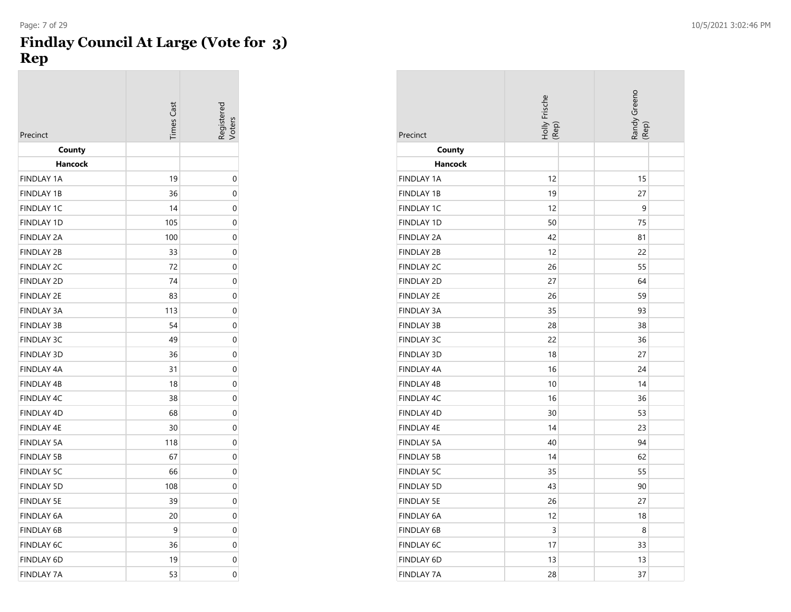#### **Findlay Council At Large (Vote for 3) Rep**

| Precinct                     | <b>Times</b> Cast | Registerec<br><b>/oters</b> |
|------------------------------|-------------------|-----------------------------|
| County                       |                   |                             |
| Hancock<br><b>FINDLAY 1A</b> | 19                |                             |
| <b>FINDLAY 1B</b>            | 36                | 0<br>0                      |
| <b>FINDLAY 1C</b>            | 14                | 0                           |
| <b>FINDLAY 1D</b>            | 105               | 0                           |
| <b>FINDLAY 2A</b>            | 100               | 0                           |
| <b>FINDLAY 2B</b>            | 33                | 0                           |
| <b>FINDLAY 2C</b>            | 72                | 0                           |
| <b>FINDLAY 2D</b>            | 74                | 0                           |
| <b>FINDLAY 2E</b>            | 83                | 0                           |
| <b>FINDLAY 3A</b>            | 113               | 0                           |
| <b>FINDLAY 3B</b>            | 54                | 0                           |
| <b>FINDLAY 3C</b>            | 49                | 0                           |
| <b>FINDLAY 3D</b>            | 36                | 0                           |
| <b>FINDLAY 4A</b>            | 31                | 0                           |
| <b>FINDLAY 4B</b>            | 18                | 0                           |
| <b>FINDLAY 4C</b>            | 38                | 0                           |
| <b>FINDLAY 4D</b>            | 68                | 0                           |
| <b>FINDLAY 4E</b>            | 30                | 0                           |
| <b>FINDLAY 5A</b>            | 118               | 0                           |
| <b>FINDLAY 5B</b>            | 67                | 0                           |
| <b>FINDLAY 5C</b>            | 66                | 0                           |
| <b>FINDLAY 5D</b>            | 108               | 0                           |
| <b>FINDLAY 5E</b>            | 39                | 0                           |
| <b>FINDLAY 6A</b>            | 20                | 0                           |
| <b>FINDLAY 6B</b>            | 9                 | 0                           |
| <b>FINDLAY 6C</b>            | 36                | 0                           |
| FINDLAY 6D                   | 19                | 0                           |
| <b>FINDLAY 7A</b>            | 53                | 0                           |

| Precinct          | Holly Frische<br>(Rep) | Randy Greeno<br>(Rep) |
|-------------------|------------------------|-----------------------|
| County            |                        |                       |
| Hancock           |                        |                       |
| <b>FINDLAY 1A</b> | 12                     | 15                    |
| <b>FINDLAY 1B</b> | 19                     | 27                    |
| <b>FINDLAY 1C</b> | 12                     | 9                     |
| <b>FINDLAY 1D</b> | 50                     | 75                    |
| <b>FINDLAY 2A</b> | 42                     | 81                    |
| <b>FINDLAY 2B</b> | 12                     | 22                    |
| <b>FINDLAY 2C</b> | 26                     | 55                    |
| <b>FINDLAY 2D</b> | 27                     | 64                    |
| <b>FINDLAY 2E</b> | 26                     | 59                    |
| <b>FINDLAY 3A</b> | 35                     | 93                    |
| <b>FINDLAY 3B</b> | 28                     | 38                    |
| <b>FINDLAY 3C</b> | 22                     | 36                    |
| <b>FINDLAY 3D</b> | 18                     | 27                    |
| FINDLAY 4A        | 16                     | 24                    |
| <b>FINDLAY 4B</b> | 10                     | 14                    |
| <b>FINDLAY 4C</b> | 16                     | 36                    |
| <b>FINDLAY 4D</b> | 30                     | 53                    |
| <b>FINDLAY 4E</b> | 14                     | 23                    |
| <b>FINDLAY 5A</b> | 40                     | 94                    |
| <b>FINDLAY 5B</b> | 14                     | 62                    |
| <b>FINDLAY 5C</b> | 35                     | 55                    |
| <b>FINDLAY 5D</b> | 43                     | 90                    |
| <b>FINDLAY 5E</b> | 26                     | 27                    |
| <b>FINDLAY 6A</b> | 12                     | 18                    |
| <b>FINDLAY 6B</b> | 3                      | 8                     |
| <b>FINDLAY 6C</b> | 17                     | 33                    |
| FINDLAY 6D        | 13                     | 13                    |
| <b>FINDLAY 7A</b> | 28                     | 37                    |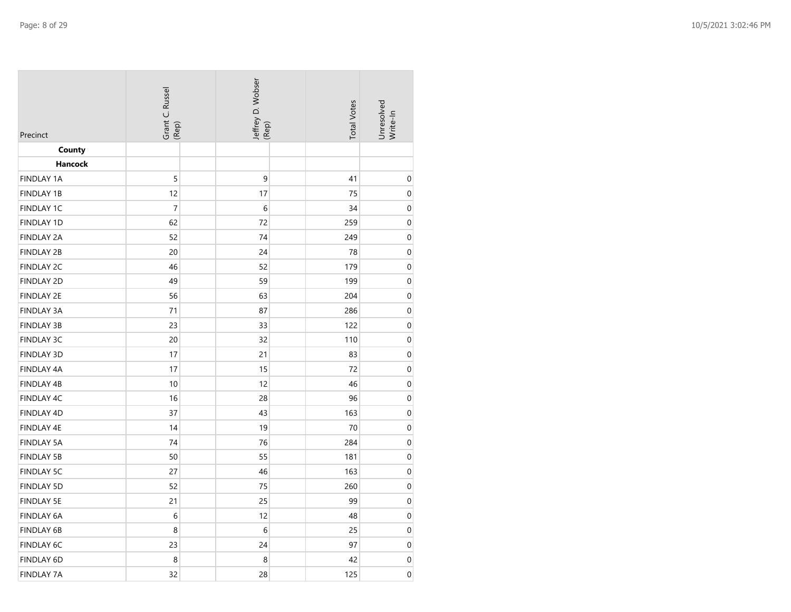| Precinct          | Grant C. Russel<br>(Rep) | Jeffrey D. Wobser<br>(Rep) | <b>Total Votes</b> | Unresolved<br>Write-In |
|-------------------|--------------------------|----------------------------|--------------------|------------------------|
| County            |                          |                            |                    |                        |
| <b>Hancock</b>    |                          |                            |                    |                        |
| <b>FINDLAY 1A</b> | 5                        | 9                          | 41                 | $\boldsymbol{0}$       |
| <b>FINDLAY 1B</b> | 12                       | 17                         | 75                 | $\boldsymbol{0}$       |
| FINDLAY 1C        | $\overline{7}$           | $\sqrt{6}$                 | 34                 | $\boldsymbol{0}$       |
| <b>FINDLAY 1D</b> | 62                       | 72                         | 259                | $\boldsymbol{0}$       |
| <b>FINDLAY 2A</b> | 52                       | 74                         | 249                | $\boldsymbol{0}$       |
| <b>FINDLAY 2B</b> | 20                       | 24                         | 78                 | $\boldsymbol{0}$       |
| <b>FINDLAY 2C</b> | 46                       | 52                         | 179                | $\boldsymbol{0}$       |
| <b>FINDLAY 2D</b> | 49                       | 59                         | 199                | $\mathbf 0$            |
| <b>FINDLAY 2E</b> | 56                       | 63                         | 204                | 0                      |
| <b>FINDLAY 3A</b> | 71                       | 87                         | 286                | $\boldsymbol{0}$       |
| <b>FINDLAY 3B</b> | 23                       | 33                         | 122                | $\boldsymbol{0}$       |
| <b>FINDLAY 3C</b> | 20                       | 32                         | 110                | $\boldsymbol{0}$       |
| <b>FINDLAY 3D</b> | 17                       | 21                         | 83                 | $\boldsymbol{0}$       |
| FINDLAY 4A        | 17                       | 15                         | 72                 | $\pmb{0}$              |
| FINDLAY 4B        | 10                       | 12                         | 46                 | $\pmb{0}$              |
| FINDLAY 4C        | 16                       | 28                         | 96                 | $\boldsymbol{0}$       |
| FINDLAY 4D        | 37                       | 43                         | 163                | $\boldsymbol{0}$       |
| FINDLAY 4E        | 14                       | 19                         | 70                 | $\boldsymbol{0}$       |
| <b>FINDLAY 5A</b> | 74                       | 76                         | 284                | $\boldsymbol{0}$       |
| <b>FINDLAY 5B</b> | 50                       | 55                         | 181                | $\boldsymbol{0}$       |
| <b>FINDLAY 5C</b> | 27                       | 46                         | 163                | $\boldsymbol{0}$       |
| <b>FINDLAY 5D</b> | 52                       | 75                         | 260                | $\boldsymbol{0}$       |
| <b>FINDLAY 5E</b> | 21                       | 25                         | 99                 | $\boldsymbol{0}$       |
| FINDLAY 6A        | 6                        | 12                         | 48                 | $\boldsymbol{0}$       |
| FINDLAY 6B        | 8                        | 6                          | 25                 | $\boldsymbol{0}$       |
| FINDLAY 6C        | 23                       | 24                         | 97                 | $\boldsymbol{0}$       |
| FINDLAY 6D        | 8                        | 8                          | 42                 | $\boldsymbol{0}$       |
| <b>FINDLAY 7A</b> | 32                       | 28                         | 125                | $\boldsymbol{0}$       |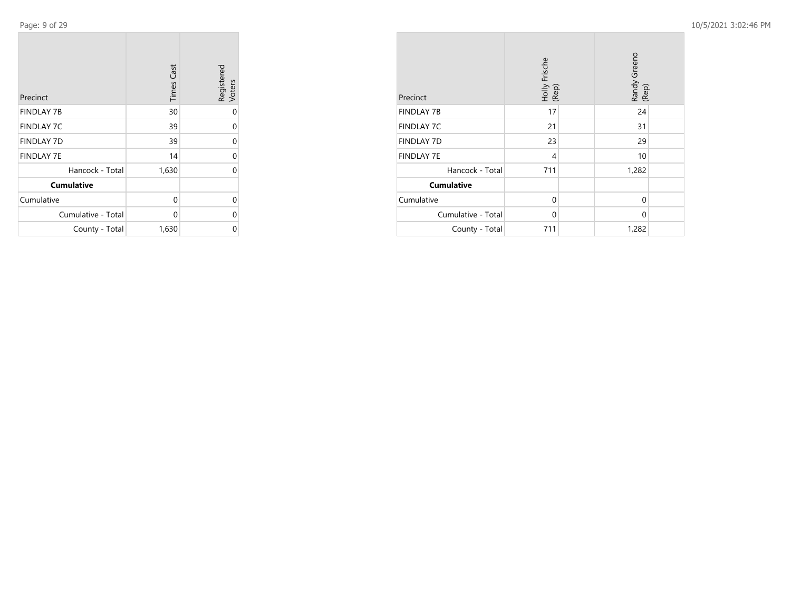Page: 9 of 29

**College** 

 $\overline{\phantom{a}}$ 

| Precinct           | <b>Times Cast</b> | Registered<br>Voters |
|--------------------|-------------------|----------------------|
| <b>FINDLAY 7B</b>  | 30                | 0                    |
| <b>FINDLAY 7C</b>  | 39                | 0                    |
| <b>FINDLAY 7D</b>  | 39                | 0                    |
| <b>FINDLAY 7E</b>  | 14                | 0                    |
| Hancock - Total    | 1,630             | 0                    |
| <b>Cumulative</b>  |                   |                      |
| Cumulative         | 0                 | 0                    |
| Cumulative - Total | $\Omega$          | 0                    |
| County - Total     | 1,630             | ი                    |

| Precinct           | Holly Frische<br>(Rep) |  | Randy Greeno<br>(Rep) |  |
|--------------------|------------------------|--|-----------------------|--|
| <b>FINDLAY 7B</b>  | 17                     |  | 24                    |  |
| <b>FINDLAY 7C</b>  | 21                     |  | 31                    |  |
| <b>FINDLAY 7D</b>  | 23                     |  | 29                    |  |
| <b>FINDLAY 7E</b>  | 4                      |  | 10                    |  |
| Hancock - Total    | 711                    |  | 1,282                 |  |
| <b>Cumulative</b>  |                        |  |                       |  |
| Cumulative         | $\Omega$               |  | $\Omega$              |  |
| Cumulative - Total | $\Omega$               |  | $\Omega$              |  |
| County - Total     | 711                    |  | 1,282                 |  |

 $\sim$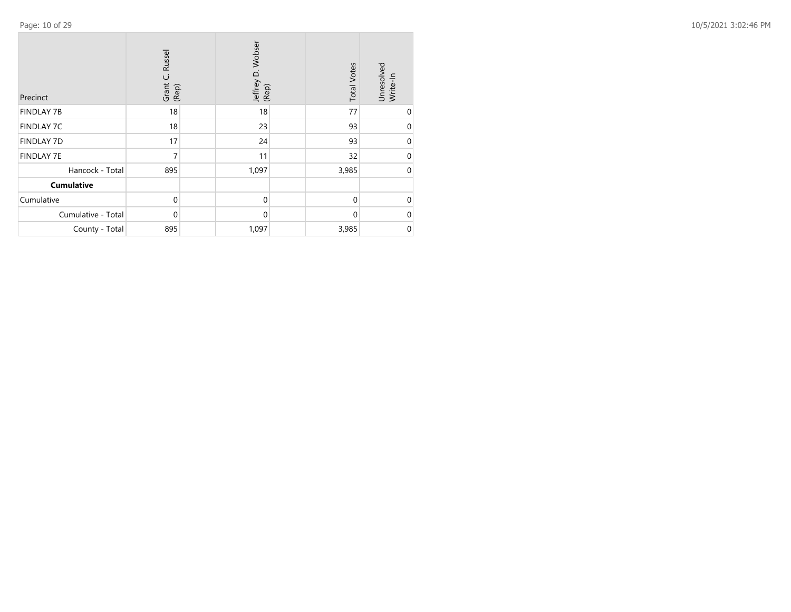| Precinct           | Russel<br>Grant C.<br>(Rep) | Jeffrey D. Wobser<br>(Rep) | <b>Total Votes</b> | Unresolved<br>Write-In |
|--------------------|-----------------------------|----------------------------|--------------------|------------------------|
| <b>FINDLAY 7B</b>  | 18                          | 18                         | 77                 | $\mathbf 0$            |
| <b>FINDLAY 7C</b>  | 18                          | 23                         | 93                 | 0                      |
| <b>FINDLAY 7D</b>  | 17                          | 24                         | 93                 | 0                      |
| <b>FINDLAY 7E</b>  | 7                           | 11                         | 32                 | 0                      |
| Hancock - Total    | 895                         | 1,097                      | 3,985              | $\mathbf 0$            |
| <b>Cumulative</b>  |                             |                            |                    |                        |
| Cumulative         | $\Omega$                    | $\mathbf 0$                | $\Omega$           | $\Omega$               |
| Cumulative - Total | $\Omega$                    | $\mathbf{0}$               | $\Omega$           | $\Omega$               |
| County - Total     | 895                         | 1,097                      | 3,985              | 0                      |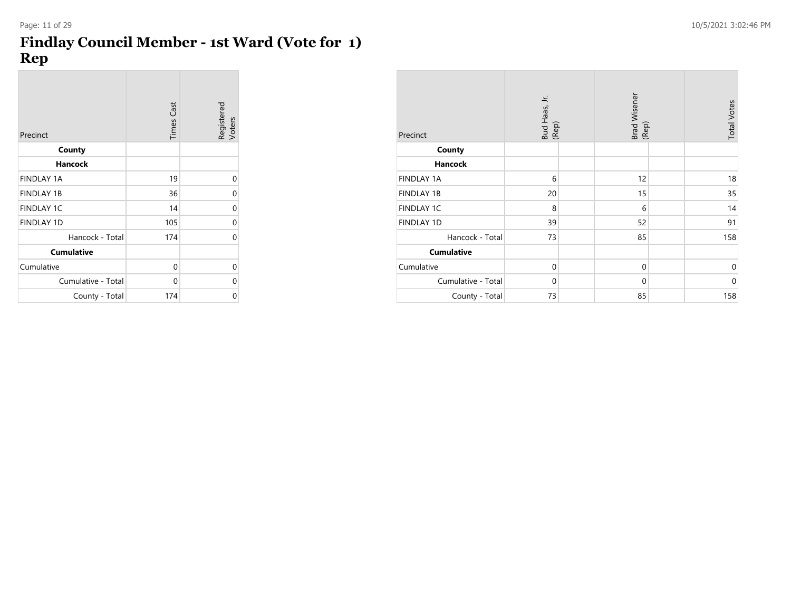### **Findlay Council Member - 1st Ward (Vote for 1) Rep**

| Precinct           | <b>Times Cast</b> | Registered<br>Voters |
|--------------------|-------------------|----------------------|
| County             |                   |                      |
| <b>Hancock</b>     |                   |                      |
| <b>FINDLAY 1A</b>  | 19                | 0                    |
| <b>FINDLAY 1B</b>  | 36                | 0                    |
| <b>FINDLAY 1C</b>  | 14                | 0                    |
| <b>FINDLAY 1D</b>  | 105               | $\Omega$             |
| Hancock - Total    | 174               | 0                    |
| <b>Cumulative</b>  |                   |                      |
| Cumulative         | 0                 | 0                    |
| Cumulative - Total | 0                 | 0                    |
| County - Total     | 174               | 0                    |

|                    | Bud Haas, Jr.<br>(Rep) | Brad Wisener<br>(Rep) | <b>Total Votes</b> |
|--------------------|------------------------|-----------------------|--------------------|
| Precinct           |                        |                       |                    |
| County             |                        |                       |                    |
| <b>Hancock</b>     |                        |                       |                    |
| <b>FINDLAY 1A</b>  | 6                      | 12                    | 18                 |
| <b>FINDLAY 1B</b>  | 20                     | 15                    | 35                 |
| <b>FINDLAY 1C</b>  | 8                      | 6                     | 14                 |
| <b>FINDLAY 1D</b>  | 39                     | 52                    | 91                 |
| Hancock - Total    | 73                     | 85                    | 158                |
| <b>Cumulative</b>  |                        |                       |                    |
| Cumulative         | $\mathbf{0}$           | $\mathbf 0$           | $\mathbf 0$        |
| Cumulative - Total | $\mathbf{0}$           | $\mathbf{0}$          | $\mathbf 0$        |
| County - Total     | 73                     | 85                    | 158                |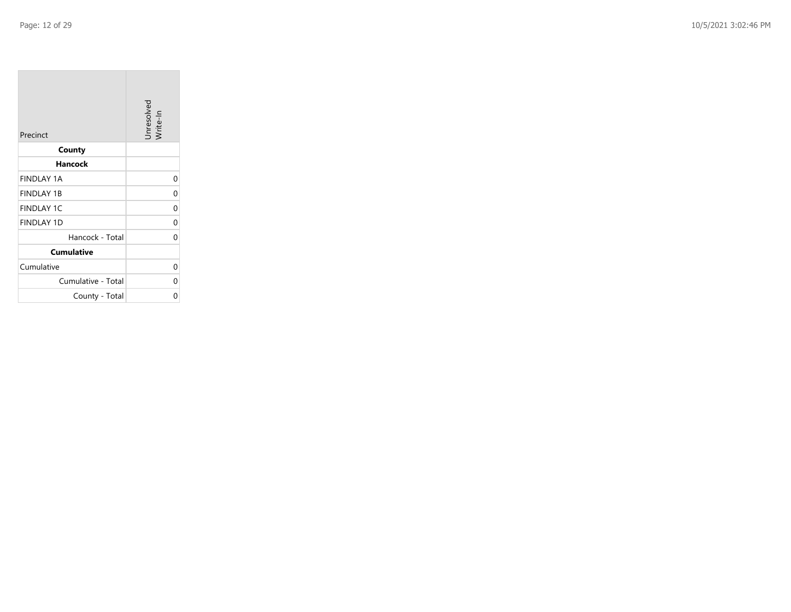| Precinct           | Unresolved<br>Write-In |
|--------------------|------------------------|
| County             |                        |
| Hancock            |                        |
| <b>FINDLAY 1A</b>  | 0                      |
| <b>FINDLAY 1B</b>  | 0                      |
| <b>FINDLAY 1C</b>  | 0                      |
| <b>FINDLAY 1D</b>  | 0                      |
| Hancock - Total    | $\Omega$               |
| <b>Cumulative</b>  |                        |
| Cumulative         | 0                      |
| Cumulative - Total | 0                      |
| County - Total     | 0                      |

the control of the control of the control of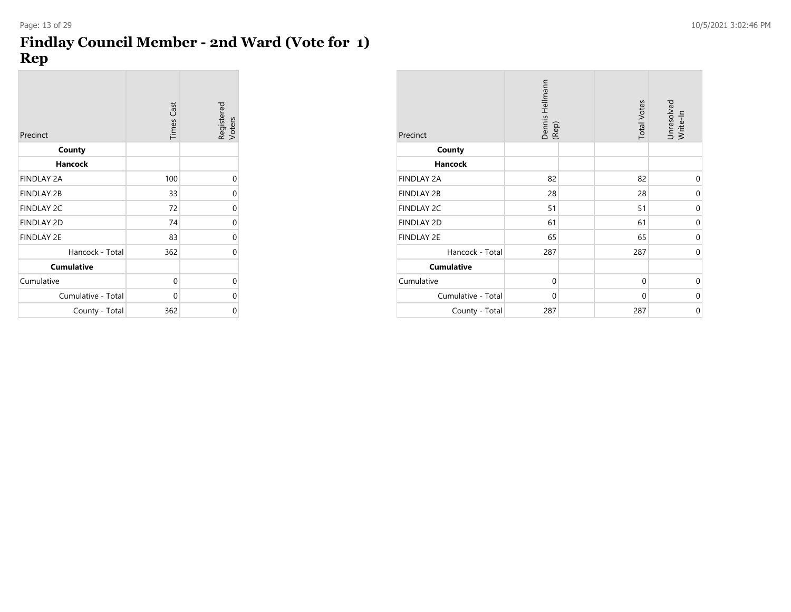### **Findlay Council Member - 2nd Ward (Vote for 1) Rep**

| Precinct           | <b>Times Cast</b> | Registered<br>Voters |
|--------------------|-------------------|----------------------|
| County             |                   |                      |
| <b>Hancock</b>     |                   |                      |
| <b>FINDLAY 2A</b>  | 100               | 0                    |
| <b>FINDLAY 2B</b>  | 33                | 0                    |
| <b>FINDLAY 2C</b>  | 72                | 0                    |
| <b>FINDLAY 2D</b>  | 74                | 0                    |
| <b>FINDLAY 2E</b>  | 83                | 0                    |
| Hancock - Total    | 362               | 0                    |
| <b>Cumulative</b>  |                   |                      |
| Cumulative         | 0                 | 0                    |
| Cumulative - Total | 0                 | 0                    |
| County - Total     | 362               | 0                    |

| Precinct           | Dennis Hellmann<br>(Rep) | <b>Total Votes</b> | Unresolved<br>Write-In |
|--------------------|--------------------------|--------------------|------------------------|
| County             |                          |                    |                        |
| <b>Hancock</b>     |                          |                    |                        |
| <b>FINDLAY 2A</b>  | 82                       | 82                 | $\mathbf{0}$           |
| <b>FINDLAY 2B</b>  | 28                       | 28                 | $\mathbf{0}$           |
| FINDLAY 2C         | 51                       | 51                 | $\mathbf 0$            |
| <b>FINDLAY 2D</b>  | 61                       | 61                 | $\mathbf 0$            |
| <b>FINDLAY 2E</b>  | 65                       | 65                 | $\overline{0}$         |
| Hancock - Total    | 287                      | 287                | $\mathbf 0$            |
| <b>Cumulative</b>  |                          |                    |                        |
| Cumulative         | $\mathbf{0}$             | $\mathbf{0}$       | $\mathbf{0}$           |
| Cumulative - Total | $\mathbf{0}$             | $\mathbf 0$        | $\mathbf{0}$           |
| County - Total     | 287                      | 287                | $\mathbf 0$            |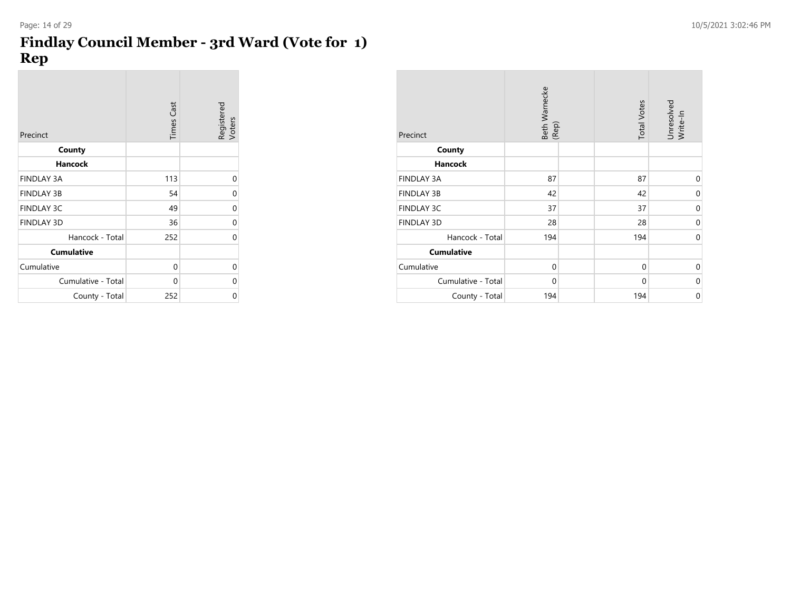### **Findlay Council Member - 3rd Ward (Vote for 1) Rep**

| Precinct           | <b>Times Cast</b> | Registered<br>Voters |
|--------------------|-------------------|----------------------|
| County             |                   |                      |
| Hancock            |                   |                      |
| <b>FINDLAY 3A</b>  | 113               | 0                    |
| <b>FINDLAY 3B</b>  | 54                | 0                    |
| <b>FINDLAY 3C</b>  | 49                | 0                    |
| <b>FINDLAY 3D</b>  | 36                | 0                    |
| Hancock - Total    | 252               | 0                    |
| <b>Cumulative</b>  |                   |                      |
| Cumulative         | 0                 | 0                    |
| Cumulative - Total | $\Omega$          | 0                    |
| County - Total     | 252               | 0                    |

| Precinct           | Beth Warnecke<br>(Rep) | <b>Total Votes</b> | Unresolved<br>Write-In |
|--------------------|------------------------|--------------------|------------------------|
| County             |                        |                    |                        |
| <b>Hancock</b>     |                        |                    |                        |
| <b>FINDLAY 3A</b>  | 87                     | 87                 | 0                      |
| <b>FINDLAY 3B</b>  | 42                     | 42                 | 0                      |
| <b>FINDLAY 3C</b>  | 37                     | 37                 | $\mathbf 0$            |
| <b>FINDLAY 3D</b>  | 28                     | 28                 | 0                      |
| Hancock - Total    | 194                    | 194                | $\mathbf 0$            |
| <b>Cumulative</b>  |                        |                    |                        |
| Cumulative         | $\mathbf 0$            | $\mathbf{0}$       | $\mathbf 0$            |
| Cumulative - Total | $\mathbf 0$            | $\mathbf 0$        | 0                      |
| County - Total     | 194                    | 194                | 0                      |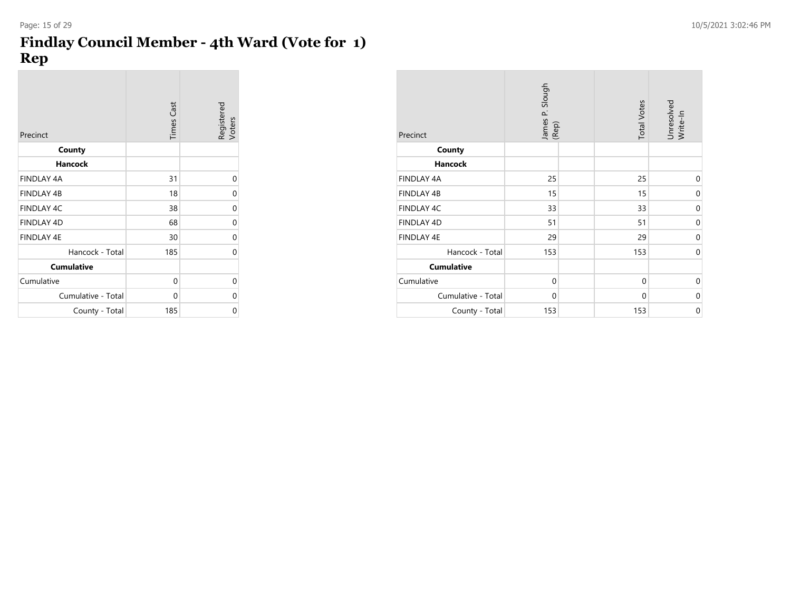### **Findlay Council Member - 4th Ward (Vote for 1) Rep**

| Precinct           | Times Cast | Registered<br>Voters |
|--------------------|------------|----------------------|
| County             |            |                      |
| <b>Hancock</b>     |            |                      |
| <b>FINDLAY 4A</b>  | 31         | 0                    |
| <b>FINDLAY 4B</b>  | 18         | 0                    |
| <b>FINDLAY 4C</b>  | 38         | 0                    |
| <b>FINDLAY 4D</b>  | 68         | 0                    |
| <b>FINDLAY 4E</b>  | 30         | $\mathbf 0$          |
| Hancock - Total    | 185        | 0                    |
| <b>Cumulative</b>  |            |                      |
| Cumulative         | 0          | 0                    |
| Cumulative - Total | $\Omega$   | 0                    |
| County - Total     | 185        | 0                    |

| Precinct           | James P. Slough<br>(Rep) |  | <b>Total Votes</b> | Unresolved<br>Write-In |
|--------------------|--------------------------|--|--------------------|------------------------|
| County             |                          |  |                    |                        |
| <b>Hancock</b>     |                          |  |                    |                        |
| FINDLAY 4A         | 25                       |  | 25                 | $\mathbf{0}$           |
| <b>FINDLAY 4B</b>  | 15                       |  | 15                 | $\mathbf 0$            |
| FINDLAY 4C         | 33                       |  | 33                 | $\mathbf 0$            |
| FINDLAY 4D         | 51                       |  | 51                 | $\mathbf 0$            |
| <b>FINDLAY 4E</b>  | 29                       |  | 29                 | $\mathbf 0$            |
| Hancock - Total    | 153                      |  | 153                | $\mathbf 0$            |
| <b>Cumulative</b>  |                          |  |                    |                        |
| Cumulative         | $\mathbf{0}$             |  | $\mathbf{0}$       | $\mathbf{0}$           |
| Cumulative - Total | $\mathbf{0}$             |  | $\mathbf{0}$       | $\mathbf 0$            |
| County - Total     | 153                      |  | 153                | $\mathbf 0$            |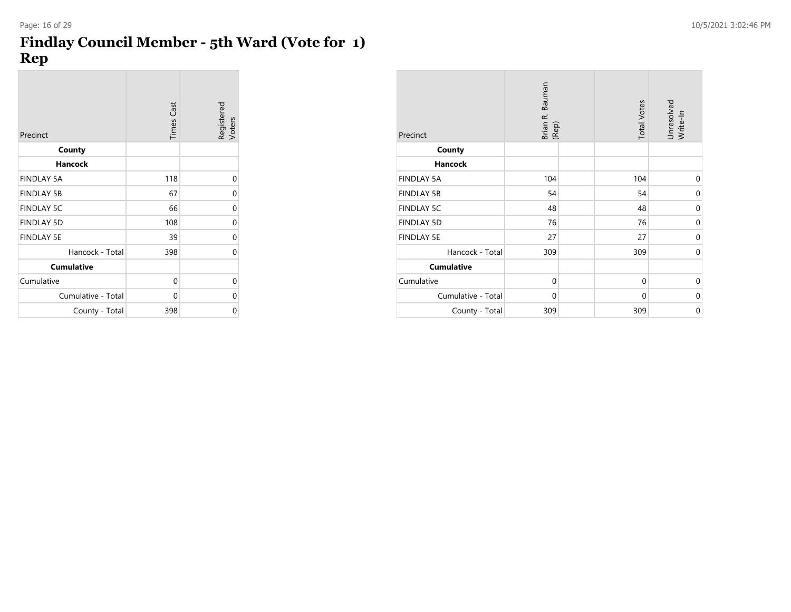### **Findlay Council Member - 5th Ward (Vote for 1) Rep**

| Precinct           | <b>Times Cast</b> | Registered<br>Voters |
|--------------------|-------------------|----------------------|
| County             |                   |                      |
| <b>Hancock</b>     |                   |                      |
| <b>FINDLAY 5A</b>  | 118               | 0                    |
| <b>FINDLAY 5B</b>  | 67                | 0                    |
| <b>FINDLAY 5C</b>  | 66                | 0                    |
| <b>FINDLAY 5D</b>  | 108               | 0                    |
| <b>FINDLAY 5E</b>  | 39                | 0                    |
| Hancock - Total    | 398               | 0                    |
| <b>Cumulative</b>  |                   |                      |
| Cumulative         | 0                 | 0                    |
| Cumulative - Total | $\Omega$          | 0                    |
| County - Total     | 398               | 0                    |

| Precinct           | Brian R. Bauman<br>(Rep) | <b>Total Votes</b> | Unresolved<br>Write-In |
|--------------------|--------------------------|--------------------|------------------------|
| County             |                          |                    |                        |
| Hancock            |                          |                    |                        |
| <b>FINDLAY 5A</b>  | 104                      | 104                | $\mathbf{0}$           |
| <b>FINDLAY 5B</b>  | 54                       | 54                 | $\mathbf 0$            |
| <b>FINDLAY 5C</b>  | 48                       | 48                 | $\mathbf 0$            |
| <b>FINDLAY 5D</b>  | 76                       | 76                 | $\mathbf 0$            |
| <b>FINDLAY 5E</b>  | 27                       | 27                 | $\mathbf 0$            |
| Hancock - Total    | 309                      | 309                | $\mathbf 0$            |
| <b>Cumulative</b>  |                          |                    |                        |
| Cumulative         | $\mathbf{0}$             | $\mathbf{0}$       | $\mathbf 0$            |
| Cumulative - Total | $\mathbf{0}$             | $\mathbf{0}$       | $\mathbf 0$            |
| County - Total     | 309                      | 309                | $\mathbf 0$            |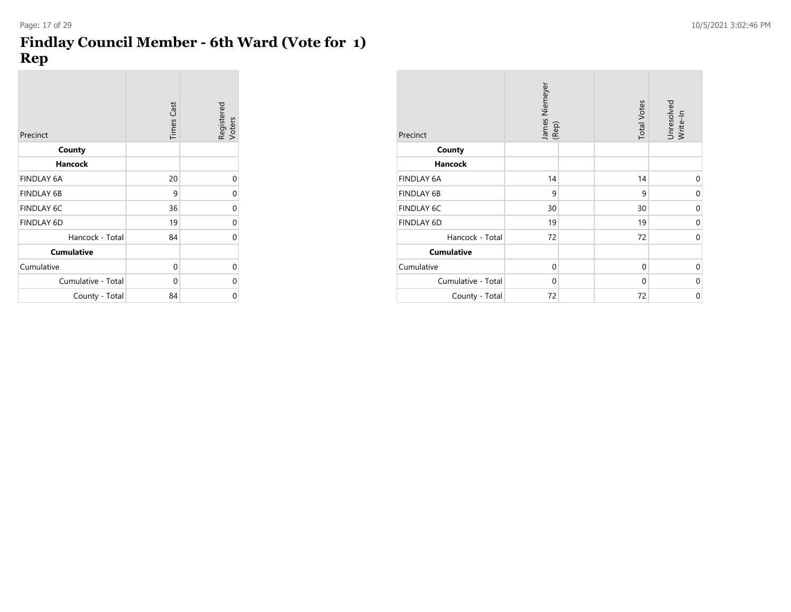### **Findlay Council Member - 6th Ward (Vote for 1) Rep**

| Precinct           | <b>Times Cast</b> | Registered<br>Voters |
|--------------------|-------------------|----------------------|
| County             |                   |                      |
| <b>Hancock</b>     |                   |                      |
| <b>FINDLAY 6A</b>  | 20                | 0                    |
| <b>FINDLAY 6B</b>  | 9                 | 0                    |
| <b>FINDLAY 6C</b>  | 36                | $\mathbf 0$          |
| <b>FINDLAY 6D</b>  | 19                | 0                    |
| Hancock - Total    | 84                | $\Omega$             |
| <b>Cumulative</b>  |                   |                      |
| Cumulative         | 0                 | 0                    |
| Cumulative - Total | $\Omega$          | 0                    |
| County - Total     | 84                | 0                    |

| Precinct           | James Niemeyer<br>(Rep) | <b>Total Votes</b> | Unresolved<br>Write-In |
|--------------------|-------------------------|--------------------|------------------------|
| County             |                         |                    |                        |
| <b>Hancock</b>     |                         |                    |                        |
| <b>FINDLAY 6A</b>  | 14                      | 14                 | $\mathbf{0}$           |
| <b>FINDLAY 6B</b>  | 9                       | 9                  | $\mathbf{0}$           |
| FINDLAY 6C         | 30                      | 30                 | $\mathbf 0$            |
| <b>FINDLAY 6D</b>  | 19                      | 19                 | $\mathbf{0}$           |
| Hancock - Total    | 72                      | 72                 | $\mathbf{0}$           |
| <b>Cumulative</b>  |                         |                    |                        |
| Cumulative         | $\mathbf{0}$            | $\mathbf{0}$       | $\mathbf 0$            |
| Cumulative - Total | $\Omega$                | $\Omega$           | $\mathbf 0$            |
| County - Total     | 72                      | 72                 | $\mathbf 0$            |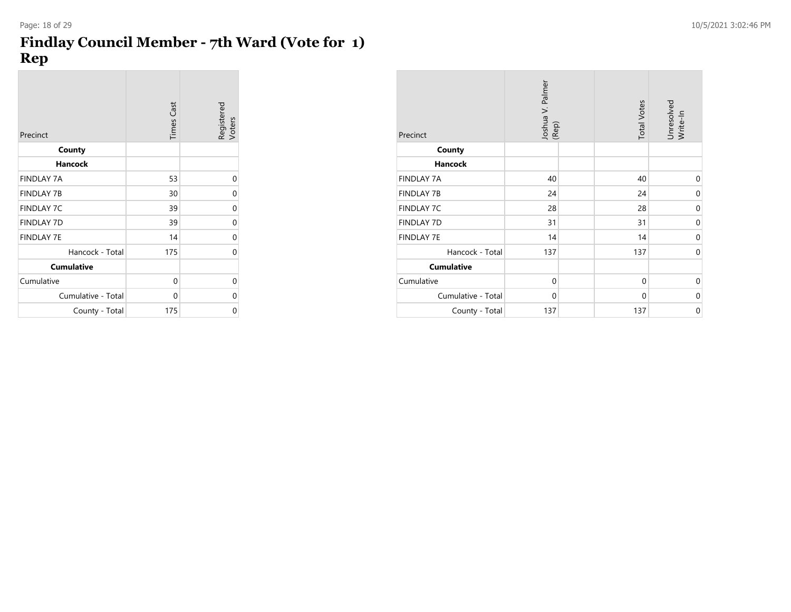### **Findlay Council Member - 7th Ward (Vote for 1) Rep**

| Precinct           | <b>Times Cast</b> | Registered<br>Voters |
|--------------------|-------------------|----------------------|
| County             |                   |                      |
| <b>Hancock</b>     |                   |                      |
| <b>FINDLAY 7A</b>  | 53                | 0                    |
| <b>FINDLAY 7B</b>  | 30                | 0                    |
| <b>FINDLAY 7C</b>  | 39                | 0                    |
| <b>FINDLAY 7D</b>  | 39                | 0                    |
| <b>FINDLAY 7E</b>  | 14                | 0                    |
| Hancock - Total    | 175               | 0                    |
| <b>Cumulative</b>  |                   |                      |
| Cumulative         | 0                 | 0                    |
| Cumulative - Total | 0                 | 0                    |
| County - Total     | 175               | 0                    |

| Precinct           | Joshua V. Palmer<br>(Rep) |  | <b>Total Votes</b> | Unresolved<br>Write-In |
|--------------------|---------------------------|--|--------------------|------------------------|
| County             |                           |  |                    |                        |
| <b>Hancock</b>     |                           |  |                    |                        |
| <b>FINDLAY 7A</b>  | 40                        |  | 40                 | $\mathbf 0$            |
| <b>FINDLAY 7B</b>  | 24                        |  | 24                 | 0                      |
| <b>FINDLAY 7C</b>  | 28                        |  | 28                 | $\mathbf 0$            |
| <b>FINDLAY 7D</b>  | 31                        |  | 31                 | $\mathbf 0$            |
| <b>FINDLAY 7E</b>  | 14                        |  | 14                 | $\mathbf 0$            |
| Hancock - Total    | 137                       |  | 137                | $\mathbf 0$            |
| <b>Cumulative</b>  |                           |  |                    |                        |
| Cumulative         | $\mathbf 0$               |  | $\mathbf 0$        | $\mathbf 0$            |
| Cumulative - Total | $\mathbf 0$               |  | $\mathbf 0$        | $\mathbf 0$            |
| County - Total     | 137                       |  | 137                | $\mathbf 0$            |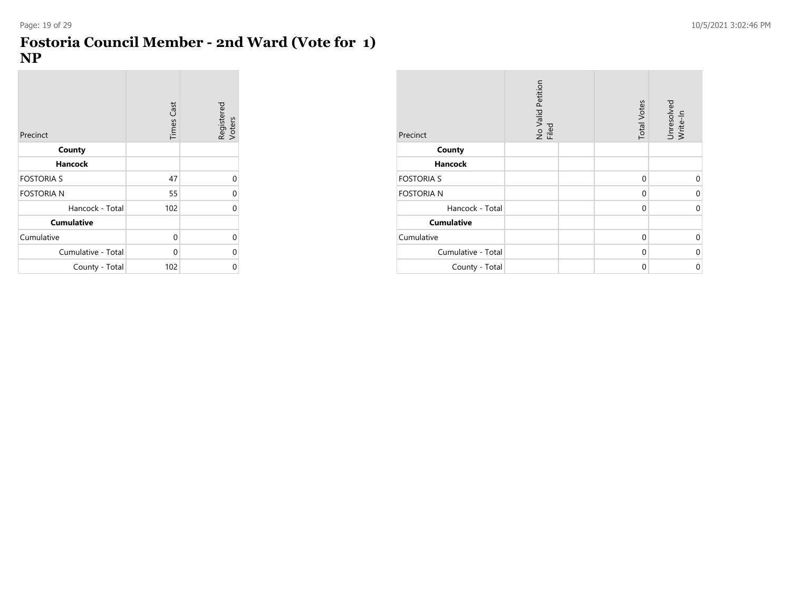$\overline{\phantom{a}}$ 

#### **Fostoria Council Member - 2nd Ward (Vote for 1) NP**

| Precinct           | <b>Times Cast</b> | Registered<br>Voters |
|--------------------|-------------------|----------------------|
| County             |                   |                      |
| <b>Hancock</b>     |                   |                      |
| <b>FOSTORIA S</b>  | 47                | U                    |
| <b>FOSTORIA N</b>  | 55                |                      |
| Hancock - Total    | 102               | U                    |
| <b>Cumulative</b>  |                   |                      |
| Cumulative         | 0                 | U                    |
| Cumulative - Total | 0                 | U                    |
| County - Total     | 102               | 0                    |

| Precinct           | No Valid Petition<br>Filed | <b>Total Votes</b> | Unresolved<br>Write-In |
|--------------------|----------------------------|--------------------|------------------------|
| County             |                            |                    |                        |
| <b>Hancock</b>     |                            |                    |                        |
| <b>FOSTORIA S</b>  |                            | 0                  | $\Omega$               |
| <b>FOSTORIA N</b>  |                            | $\mathbf 0$        | 0                      |
| Hancock - Total    |                            | $\mathbf 0$        | $\mathbf 0$            |
| <b>Cumulative</b>  |                            |                    |                        |
| Cumulative         |                            | $\mathbf{0}$       | $\mathbf 0$            |
| Cumulative - Total |                            | 0                  | 0                      |
| County - Total     |                            | 0                  | 0                      |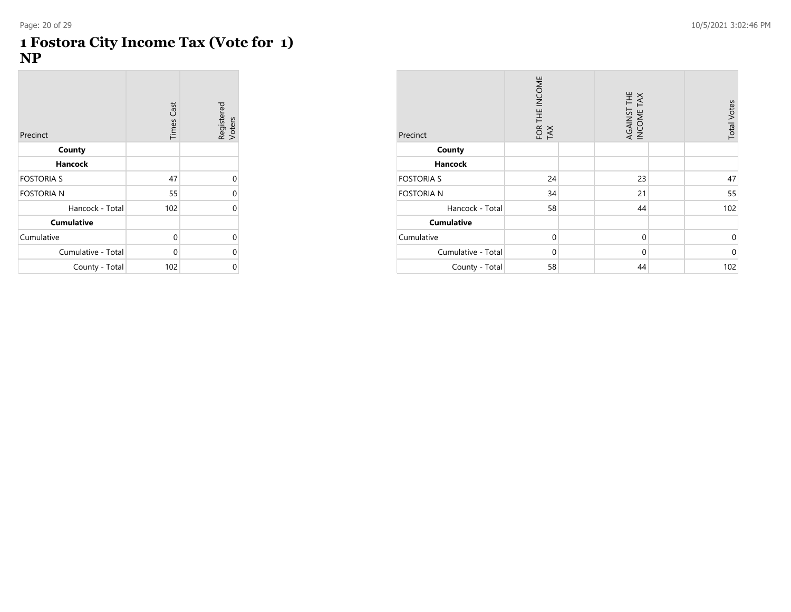**COL** 

 $\sim$  10  $\pm$ 

| Precinct           | <b>Times Cast</b> | Registered<br>Voters |
|--------------------|-------------------|----------------------|
| County             |                   |                      |
| <b>Hancock</b>     |                   |                      |
| <b>FOSTORIA S</b>  | 47                | 0                    |
| <b>FOSTORIA N</b>  | 55                | 0                    |
| Hancock - Total    | 102               | U                    |
| <b>Cumulative</b>  |                   |                      |
| Cumulative         | $\mathbf{0}$      | U                    |
| Cumulative - Total | 0                 | U                    |
| County - Total     | 102               | 0                    |

| Precinct           | FOR THE INCOME<br>TAX | AGAINST THE<br>INCOME TAX | <b>Total Votes</b> |
|--------------------|-----------------------|---------------------------|--------------------|
| County             |                       |                           |                    |
| Hancock            |                       |                           |                    |
| <b>FOSTORIA S</b>  | 24                    | 23                        | 47                 |
| <b>FOSTORIA N</b>  | 34                    | 21                        | 55                 |
| Hancock - Total    | 58                    | 44                        | 102                |
| <b>Cumulative</b>  |                       |                           |                    |
| Cumulative         | $\mathbf{0}$          | $\mathbf 0$               | $\mathbf 0$        |
| Cumulative - Total | $\mathbf{0}$          | $\mathbf 0$               | $\mathbf{0}$       |
| County - Total     | 58                    | 44                        | 102                |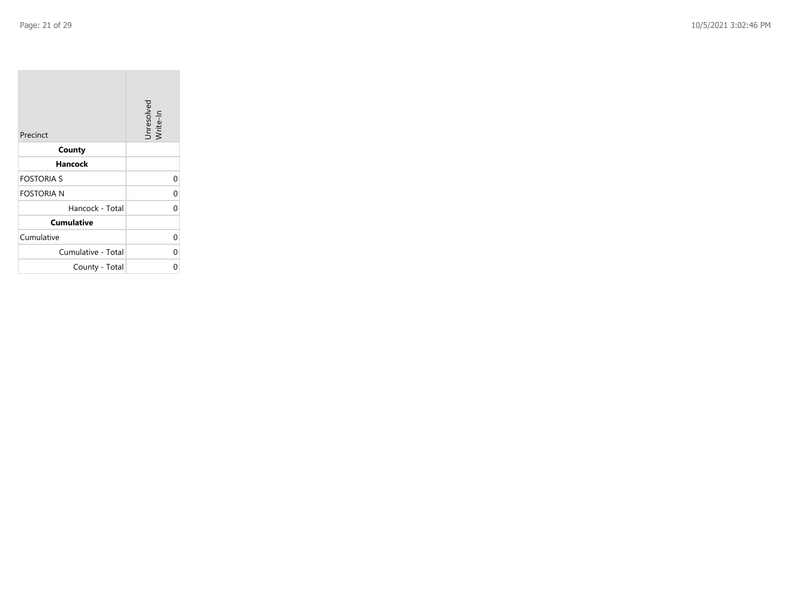| Precinct           | Unresolved<br>Write-In |
|--------------------|------------------------|
| County             |                        |
| Hancock            |                        |
| <b>FOSTORIA S</b>  | 0                      |
| <b>FOSTORIA N</b>  | 0                      |
| Hancock - Total    | $\Omega$               |
| <b>Cumulative</b>  |                        |
| Cumulative         | 0                      |
| Cumulative - Total | 0                      |
| County - Total     | 0                      |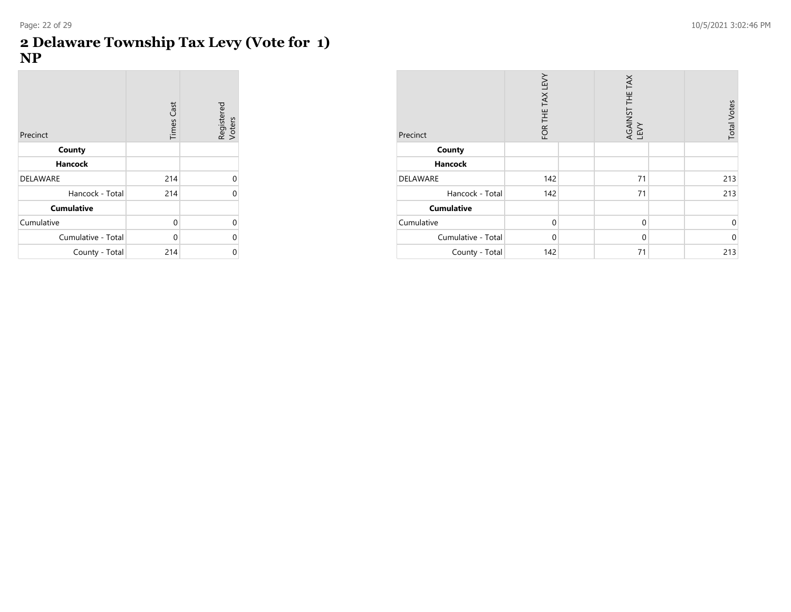**COL** 

#### **2 Delaware Township Tax Levy (Vote for 1) NP**

 $\sim$ 

| Precinct           | <b>Times Cast</b> | Registered<br>Voters |
|--------------------|-------------------|----------------------|
| County             |                   |                      |
| <b>Hancock</b>     |                   |                      |
| <b>DELAWARE</b>    | 214               | U                    |
| Hancock - Total    | 214               | U                    |
| <b>Cumulative</b>  |                   |                      |
| Cumulative         | 0                 | U                    |
| Cumulative - Total | 0                 | U                    |
| County - Total     | 214               |                      |

| Precinct           | FOR THE TAX LEVY | AGAINST THE TAX<br>LEVY | <b>Total Votes</b> |
|--------------------|------------------|-------------------------|--------------------|
| County             |                  |                         |                    |
| <b>Hancock</b>     |                  |                         |                    |
| <b>DELAWARE</b>    | 142              | 71                      | 213                |
| Hancock - Total    | 142              | 71                      | 213                |
| <b>Cumulative</b>  |                  |                         |                    |
| Cumulative         | $\Omega$         | $\Omega$                | $\mathbf 0$        |
| Cumulative - Total | $\mathbf 0$      | $\mathbf 0$             | $\mathbf{0}$       |
| County - Total     | 142              | 71                      | 213                |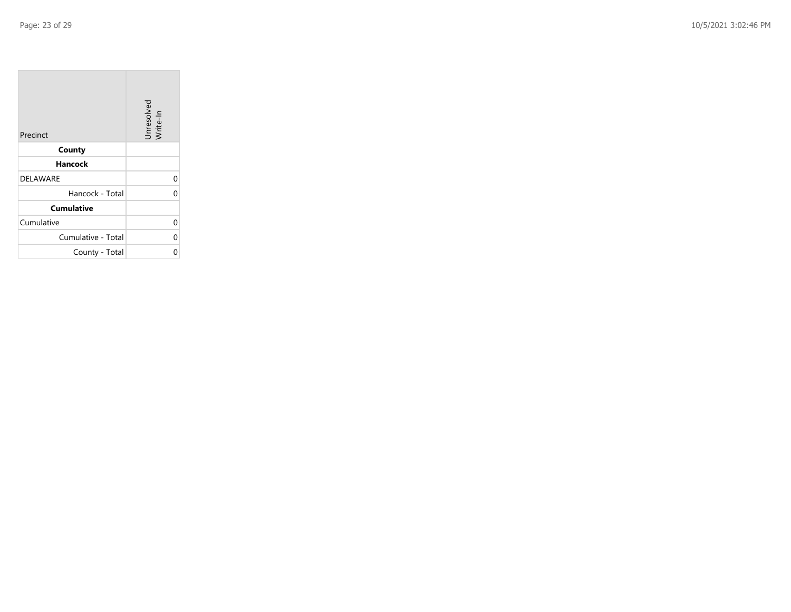| Precinct           | Unresolved<br>Write-In |
|--------------------|------------------------|
| County             |                        |
| Hancock            |                        |
| <b>DELAWARE</b>    | 0                      |
| Hancock - Total    | 0                      |
| <b>Cumulative</b>  |                        |
| Cumulative         | 0                      |
| Cumulative - Total | 0                      |
| County - Total     | ი                      |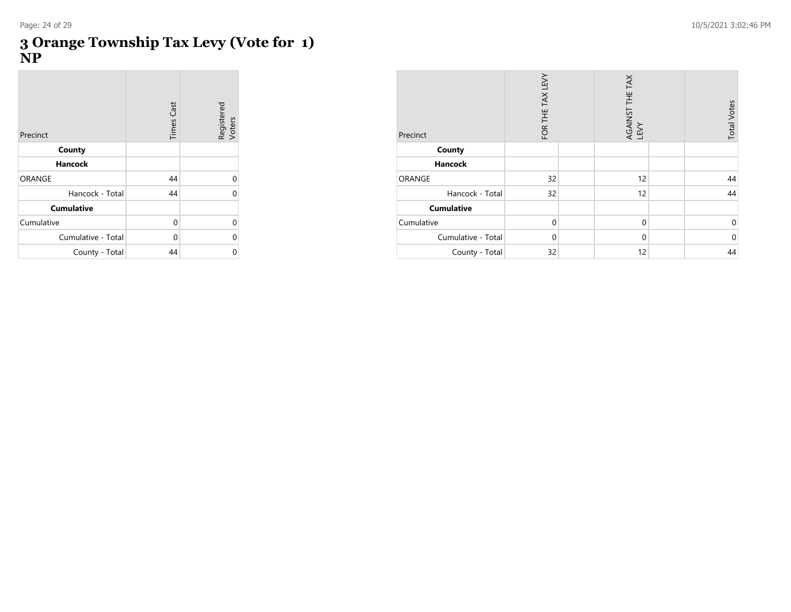$\sim$ 

#### **3 Orange Township Tax Levy (Vote for 1) NP**

 $\sim$ 

| Precinct           | <b>Times Cast</b> | Registered<br>Voters |
|--------------------|-------------------|----------------------|
| County             |                   |                      |
| <b>Hancock</b>     |                   |                      |
| ORANGE             | 44                | U                    |
| Hancock - Total    | 44                |                      |
| <b>Cumulative</b>  |                   |                      |
| Cumulative         | 0                 | U                    |
| Cumulative - Total | 0                 | U                    |
| County - Total     | 44                | 0                    |

| Precinct           | FOR THE TAX LEVY | AGAINST THE TAX<br>LEVY | <b>Total Votes</b> |
|--------------------|------------------|-------------------------|--------------------|
| County             |                  |                         |                    |
| <b>Hancock</b>     |                  |                         |                    |
| ORANGE             | 32               | 12                      | 44                 |
| Hancock - Total    | 32               | 12                      | 44                 |
| <b>Cumulative</b>  |                  |                         |                    |
| Cumulative         | $\Omega$         | $\Omega$                | $\mathbf 0$        |
| Cumulative - Total | $\Omega$         | $\mathbf 0$             | $\mathbf{0}$       |
| County - Total     | 32               | 12                      | 44                 |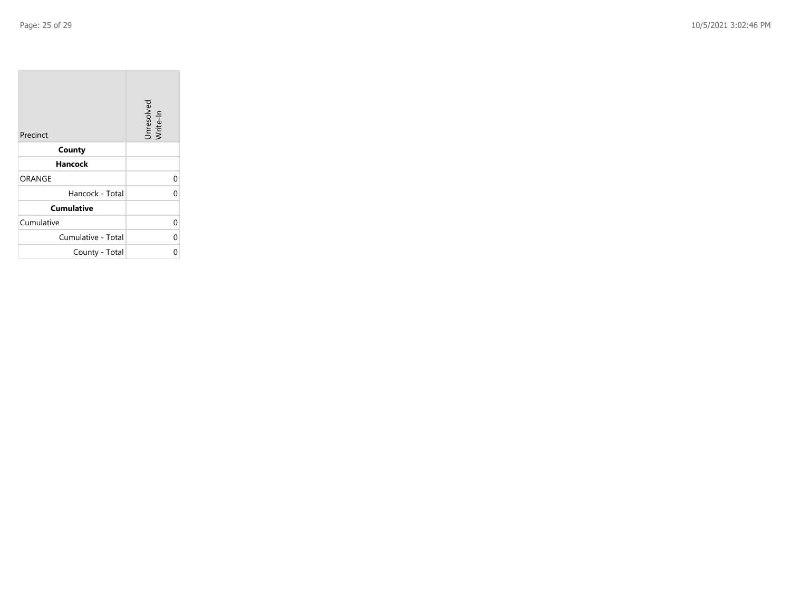| Precinct           | Unresolved<br>Write-In |
|--------------------|------------------------|
| County             |                        |
| Hancock            |                        |
| ORANGE             | 0                      |
| Hancock - Total    | 0                      |
| <b>Cumulative</b>  |                        |
| Cumulative         | 0                      |
| Cumulative - Total | 0                      |
| County - Total     | ი                      |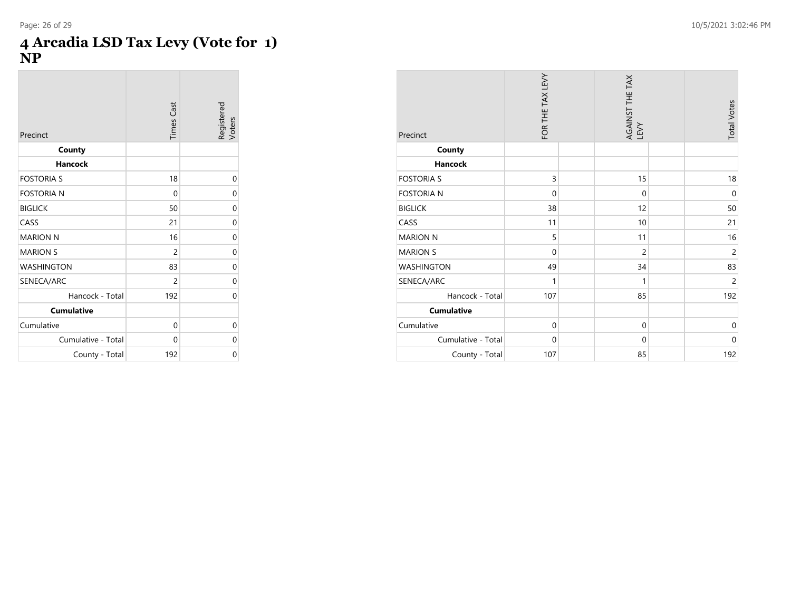**College** 

#### **4 Arcadia LSD Tax Levy (Vote for 1) NP**

| Precinct           | <b>Times Cast</b> | Registered<br>Voters |
|--------------------|-------------------|----------------------|
| County             |                   |                      |
| <b>Hancock</b>     |                   |                      |
| <b>FOSTORIA S</b>  | 18                | 0                    |
| <b>FOSTORIA N</b>  | 0                 | 0                    |
| <b>BIGLICK</b>     | 50                | 0                    |
| CASS               | 21                | 0                    |
| <b>MARION N</b>    | 16                | 0                    |
| <b>MARION S</b>    | $\overline{c}$    | 0                    |
| <b>WASHINGTON</b>  | 83                | 0                    |
| SENECA/ARC         | $\overline{c}$    | 0                    |
| Hancock - Total    | 192               | 0                    |
| <b>Cumulative</b>  |                   |                      |
| Cumulative         | 0                 | 0                    |
| Cumulative - Total | 0                 | 0                    |
| County - Total     | 192               | 0                    |

| Precinct           | FOR THE TAX LEVY | AGAINST THE TAX<br>LEVY | <b>Total Votes</b> |
|--------------------|------------------|-------------------------|--------------------|
| County             |                  |                         |                    |
| <b>Hancock</b>     |                  |                         |                    |
| <b>FOSTORIA S</b>  | 3                | 15                      | 18                 |
| <b>FOSTORIA N</b>  | $\mathbf 0$      | $\mathbf 0$             | $\mathbf 0$        |
| <b>BIGLICK</b>     | 38               | 12                      | 50                 |
| CASS               | 11               | 10                      | 21                 |
| <b>MARION N</b>    | 5                | 11                      | 16                 |
| <b>MARION S</b>    | $\mathbf 0$      | $\overline{c}$          | $\overline{c}$     |
| <b>WASHINGTON</b>  | 49               | 34                      | 83                 |
| SENECA/ARC         | 1                | 1                       | $\overline{c}$     |
| Hancock - Total    | 107              | 85                      | 192                |
| <b>Cumulative</b>  |                  |                         |                    |
| Cumulative         | $\mathbf 0$      | $\mathbf{0}$            | $\boldsymbol{0}$   |
| Cumulative - Total | $\mathbf 0$      | $\mathbf{0}$            | $\mathbf 0$        |
| County - Total     | 107              | 85                      | 192                |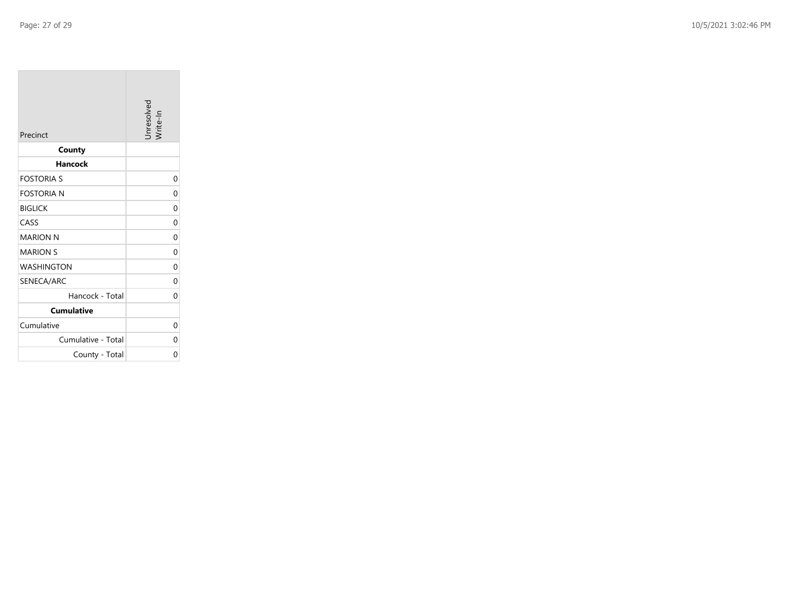| Precinct           | Unresolved<br>/rite-In |
|--------------------|------------------------|
| County             |                        |
| <b>Hancock</b>     |                        |
| <b>FOSTORIA S</b>  | 0                      |
| <b>FOSTORIA N</b>  | 0                      |
| <b>BIGLICK</b>     | 0                      |
| CASS               | 0                      |
| <b>MARION N</b>    | 0                      |
| <b>MARION S</b>    | 0                      |
| <b>WASHINGTON</b>  | $\Omega$               |
| SENECA/ARC         | 0                      |
| Hancock - Total    | 0                      |
| <b>Cumulative</b>  |                        |
| Cumulative         | 0                      |
| Cumulative - Total | 0                      |
| County - Total     | 0                      |

the control of the control of the control of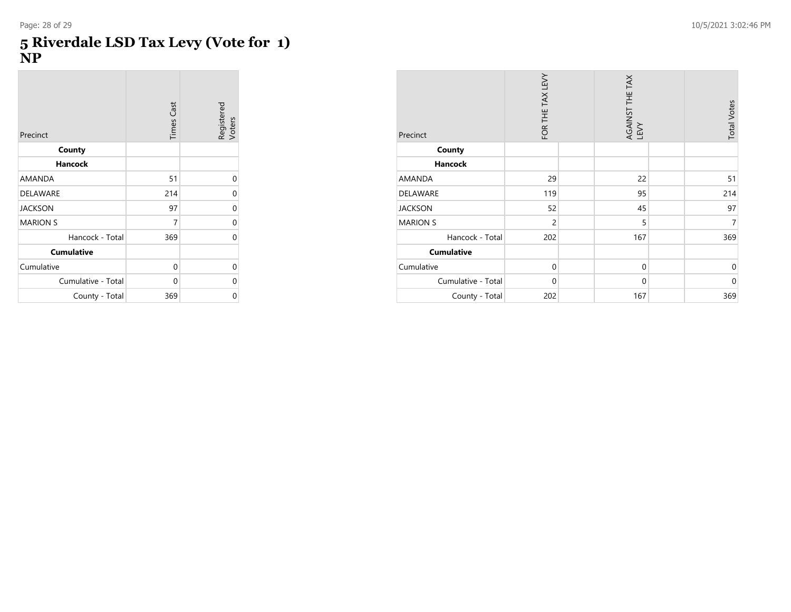$\sim$ 

#### **5 Riverdale LSD Tax Levy (Vote for 1) NP**

 $\sim$ 

| Precinct           | <b>Times Cast</b> | Registered<br>Voters |
|--------------------|-------------------|----------------------|
| County             |                   |                      |
| <b>Hancock</b>     |                   |                      |
| AMANDA             | 51                | 0                    |
| <b>DELAWARE</b>    | 214               | 0                    |
| <b>JACKSON</b>     | 97                | 0                    |
| <b>MARION S</b>    | 7                 | 0                    |
| Hancock - Total    | 369               | U                    |
| <b>Cumulative</b>  |                   |                      |
| Cumulative         | 0                 | 0                    |
| Cumulative - Total | 0                 | U                    |
| County - Total     | 369               | 0                    |

| Precinct           | FOR THE TAX LEVY | AGAINST THE TAX<br>LEVY | <b>Total Votes</b> |
|--------------------|------------------|-------------------------|--------------------|
| County             |                  |                         |                    |
| <b>Hancock</b>     |                  |                         |                    |
| <b>AMANDA</b>      | 29               | 22                      | 51                 |
| DELAWARE           | 119              | 95                      | 214                |
| <b>JACKSON</b>     | 52               | 45                      | 97                 |
| <b>MARION S</b>    | $\overline{2}$   | 5                       | 7                  |
| Hancock - Total    | 202              | 167                     | 369                |
| <b>Cumulative</b>  |                  |                         |                    |
| Cumulative         | $\mathbf{0}$     | $\mathbf 0$             | $\mathbf{0}$       |
| Cumulative - Total | $\mathbf 0$      | $\mathbf{0}$            | $\mathbf{0}$       |
| County - Total     | 202              | 167                     | 369                |